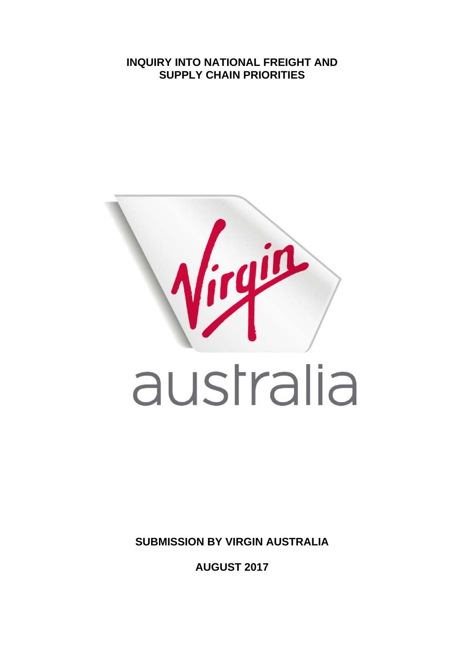**INQUIRY INTO NATIONAL FREIGHT AND SUPPLY CHAIN PRIORITIES** 



**SUBMISSION BY VIRGIN AUSTRALIA** 

**AUGUST 2017**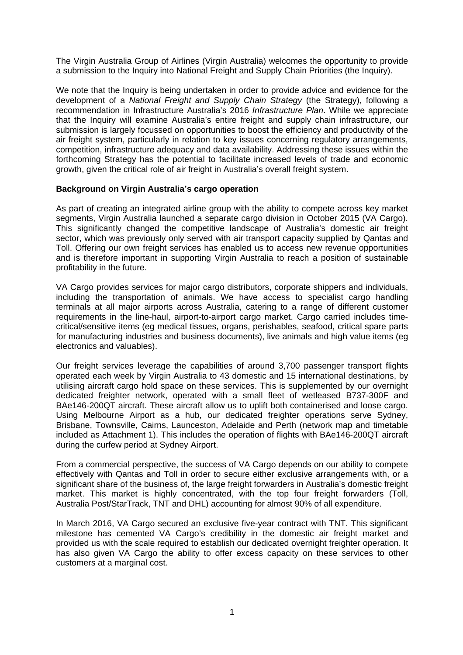The Virgin Australia Group of Airlines (Virgin Australia) welcomes the opportunity to provide a submission to the Inquiry into National Freight and Supply Chain Priorities (the Inquiry).

We note that the Inquiry is being undertaken in order to provide advice and evidence for the development of a *National Freight and Supply Chain Strategy* (the Strategy), following a recommendation in Infrastructure Australia's 2016 *Infrastructure Plan*. While we appreciate that the Inquiry will examine Australia's entire freight and supply chain infrastructure, our submission is largely focussed on opportunities to boost the efficiency and productivity of the air freight system, particularly in relation to key issues concerning regulatory arrangements, competition, infrastructure adequacy and data availability. Addressing these issues within the forthcoming Strategy has the potential to facilitate increased levels of trade and economic growth, given the critical role of air freight in Australia's overall freight system.

# **Background on Virgin Australia's cargo operation**

As part of creating an integrated airline group with the ability to compete across key market segments, Virgin Australia launched a separate cargo division in October 2015 (VA Cargo). This significantly changed the competitive landscape of Australia's domestic air freight sector, which was previously only served with air transport capacity supplied by Qantas and Toll. Offering our own freight services has enabled us to access new revenue opportunities and is therefore important in supporting Virgin Australia to reach a position of sustainable profitability in the future.

VA Cargo provides services for major cargo distributors, corporate shippers and individuals, including the transportation of animals. We have access to specialist cargo handling terminals at all major airports across Australia, catering to a range of different customer requirements in the line-haul, airport-to-airport cargo market. Cargo carried includes timecritical/sensitive items (eg medical tissues, organs, perishables, seafood, critical spare parts for manufacturing industries and business documents), live animals and high value items (eg electronics and valuables).

Our freight services leverage the capabilities of around 3,700 passenger transport flights operated each week by Virgin Australia to 43 domestic and 15 international destinations, by utilising aircraft cargo hold space on these services. This is supplemented by our overnight dedicated freighter network, operated with a small fleet of wetleased B737-300F and BAe146-200QT aircraft. These aircraft allow us to uplift both containerised and loose cargo. Using Melbourne Airport as a hub, our dedicated freighter operations serve Sydney, Brisbane, Townsville, Cairns, Launceston, Adelaide and Perth (network map and timetable included as Attachment 1). This includes the operation of flights with BAe146-200QT aircraft during the curfew period at Sydney Airport.

From a commercial perspective, the success of VA Cargo depends on our ability to compete effectively with Qantas and Toll in order to secure either exclusive arrangements with, or a significant share of the business of, the large freight forwarders in Australia's domestic freight market. This market is highly concentrated, with the top four freight forwarders (Toll, Australia Post/StarTrack, TNT and DHL) accounting for almost 90% of all expenditure.

In March 2016, VA Cargo secured an exclusive five-year contract with TNT. This significant milestone has cemented VA Cargo's credibility in the domestic air freight market and provided us with the scale required to establish our dedicated overnight freighter operation. It has also given VA Cargo the ability to offer excess capacity on these services to other customers at a marginal cost.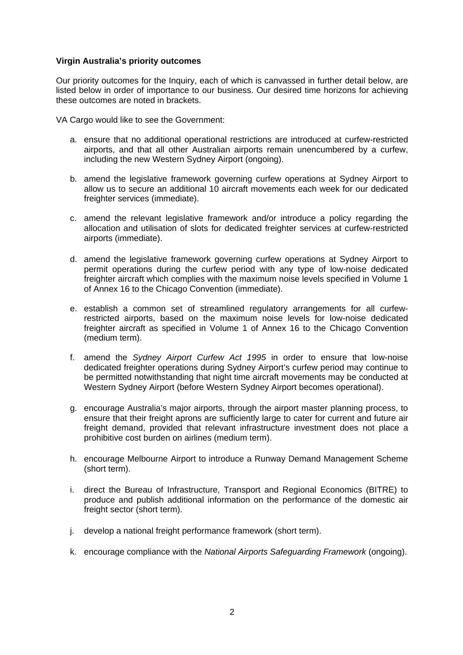# **Virgin Australia's priority outcomes**

Our priority outcomes for the Inquiry, each of which is canvassed in further detail below, are listed below in order of importance to our business. Our desired time horizons for achieving these outcomes are noted in brackets.

VA Cargo would like to see the Government:

- a. ensure that no additional operational restrictions are introduced at curfew-restricted airports, and that all other Australian airports remain unencumbered by a curfew, including the new Western Sydney Airport (ongoing).
- b. amend the legislative framework governing curfew operations at Sydney Airport to allow us to secure an additional 10 aircraft movements each week for our dedicated freighter services (immediate).
- c. amend the relevant legislative framework and/or introduce a policy regarding the allocation and utilisation of slots for dedicated freighter services at curfew-restricted airports (immediate).
- d. amend the legislative framework governing curfew operations at Sydney Airport to permit operations during the curfew period with any type of low-noise dedicated freighter aircraft which complies with the maximum noise levels specified in Volume 1 of Annex 16 to the Chicago Convention (immediate).
- e. establish a common set of streamlined regulatory arrangements for all curfewrestricted airports, based on the maximum noise levels for low-noise dedicated freighter aircraft as specified in Volume 1 of Annex 16 to the Chicago Convention (medium term).
- f. amend the *Sydney Airport Curfew Act 1995* in order to ensure that low-noise dedicated freighter operations during Sydney Airport's curfew period may continue to be permitted notwithstanding that night time aircraft movements may be conducted at Western Sydney Airport (before Western Sydney Airport becomes operational).
- g. encourage Australia's major airports, through the airport master planning process, to ensure that their freight aprons are sufficiently large to cater for current and future air freight demand, provided that relevant infrastructure investment does not place a prohibitive cost burden on airlines (medium term).
- h. encourage Melbourne Airport to introduce a Runway Demand Management Scheme (short term).
- i. direct the Bureau of Infrastructure, Transport and Regional Economics (BITRE) to produce and publish additional information on the performance of the domestic air freight sector (short term).
- j. develop a national freight performance framework (short term).
- k. encourage compliance with the *National Airports Safeguarding Framework* (ongoing).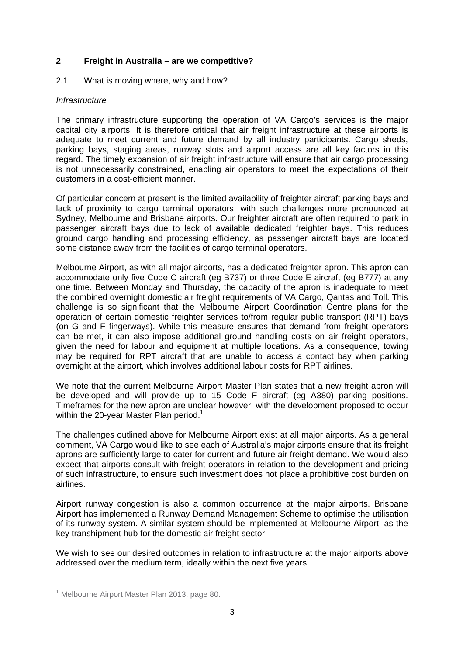# **2 Freight in Australia – are we competitive?**

#### 2.1 What is moving where, why and how?

# *Infrastructure*

The primary infrastructure supporting the operation of VA Cargo's services is the major capital city airports. It is therefore critical that air freight infrastructure at these airports is adequate to meet current and future demand by all industry participants. Cargo sheds, parking bays, staging areas, runway slots and airport access are all key factors in this regard. The timely expansion of air freight infrastructure will ensure that air cargo processing is not unnecessarily constrained, enabling air operators to meet the expectations of their customers in a cost-efficient manner.

Of particular concern at present is the limited availability of freighter aircraft parking bays and lack of proximity to cargo terminal operators, with such challenges more pronounced at Sydney, Melbourne and Brisbane airports. Our freighter aircraft are often required to park in passenger aircraft bays due to lack of available dedicated freighter bays. This reduces ground cargo handling and processing efficiency, as passenger aircraft bays are located some distance away from the facilities of cargo terminal operators.

Melbourne Airport, as with all major airports, has a dedicated freighter apron. This apron can accommodate only five Code C aircraft (eg B737) or three Code E aircraft (eg B777) at any one time. Between Monday and Thursday, the capacity of the apron is inadequate to meet the combined overnight domestic air freight requirements of VA Cargo, Qantas and Toll. This challenge is so significant that the Melbourne Airport Coordination Centre plans for the operation of certain domestic freighter services to/from regular public transport (RPT) bays (on G and F fingerways). While this measure ensures that demand from freight operators can be met, it can also impose additional ground handling costs on air freight operators, given the need for labour and equipment at multiple locations. As a consequence, towing may be required for RPT aircraft that are unable to access a contact bay when parking overnight at the airport, which involves additional labour costs for RPT airlines.

We note that the current Melbourne Airport Master Plan states that a new freight apron will be developed and will provide up to 15 Code F aircraft (eg A380) parking positions. Timeframes for the new apron are unclear however, with the development proposed to occur within the 20-year Master Plan period.<sup>1</sup>

The challenges outlined above for Melbourne Airport exist at all major airports. As a general comment, VA Cargo would like to see each of Australia's major airports ensure that its freight aprons are sufficiently large to cater for current and future air freight demand. We would also expect that airports consult with freight operators in relation to the development and pricing of such infrastructure, to ensure such investment does not place a prohibitive cost burden on airlines.

Airport runway congestion is also a common occurrence at the major airports. Brisbane Airport has implemented a Runway Demand Management Scheme to optimise the utilisation of its runway system. A similar system should be implemented at Melbourne Airport, as the key transhipment hub for the domestic air freight sector.

We wish to see our desired outcomes in relation to infrastructure at the major airports above addressed over the medium term, ideally within the next five years.

<sup>&</sup>lt;sup>1</sup> Melbourne Airport Master Plan 2013, page 80.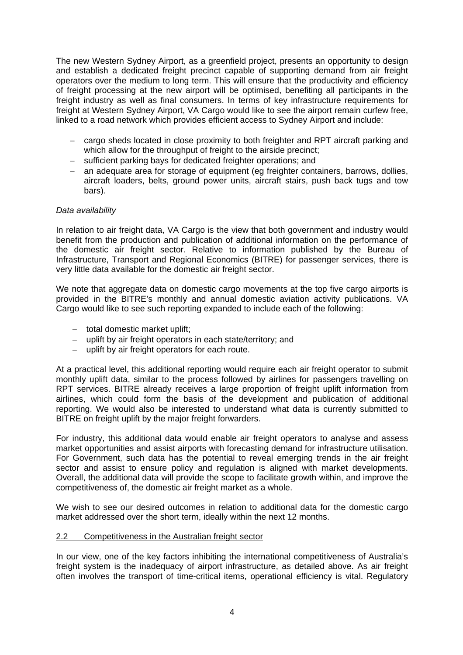The new Western Sydney Airport, as a greenfield project, presents an opportunity to design and establish a dedicated freight precinct capable of supporting demand from air freight operators over the medium to long term. This will ensure that the productivity and efficiency of freight processing at the new airport will be optimised, benefiting all participants in the freight industry as well as final consumers. In terms of key infrastructure requirements for freight at Western Sydney Airport, VA Cargo would like to see the airport remain curfew free, linked to a road network which provides efficient access to Sydney Airport and include:

- cargo sheds located in close proximity to both freighter and RPT aircraft parking and which allow for the throughput of freight to the airside precinct;
- sufficient parking bays for dedicated freighter operations; and
- an adequate area for storage of equipment (eg freighter containers, barrows, dollies, aircraft loaders, belts, ground power units, aircraft stairs, push back tugs and tow bars).

# *Data availability*

In relation to air freight data, VA Cargo is the view that both government and industry would benefit from the production and publication of additional information on the performance of the domestic air freight sector. Relative to information published by the Bureau of Infrastructure, Transport and Regional Economics (BITRE) for passenger services, there is very little data available for the domestic air freight sector.

We note that aggregate data on domestic cargo movements at the top five cargo airports is provided in the BITRE's monthly and annual domestic aviation activity publications. VA Cargo would like to see such reporting expanded to include each of the following:

- $-$  total domestic market uplift;
- uplift by air freight operators in each state/territory; and
- $-$  uplift by air freight operators for each route.

At a practical level, this additional reporting would require each air freight operator to submit monthly uplift data, similar to the process followed by airlines for passengers travelling on RPT services. BITRE already receives a large proportion of freight uplift information from airlines, which could form the basis of the development and publication of additional reporting. We would also be interested to understand what data is currently submitted to BITRE on freight uplift by the major freight forwarders.

For industry, this additional data would enable air freight operators to analyse and assess market opportunities and assist airports with forecasting demand for infrastructure utilisation. For Government, such data has the potential to reveal emerging trends in the air freight sector and assist to ensure policy and regulation is aligned with market developments. Overall, the additional data will provide the scope to facilitate growth within, and improve the competitiveness of, the domestic air freight market as a whole.

We wish to see our desired outcomes in relation to additional data for the domestic cargo market addressed over the short term, ideally within the next 12 months.

#### 2.2 Competitiveness in the Australian freight sector

In our view, one of the key factors inhibiting the international competitiveness of Australia's freight system is the inadequacy of airport infrastructure, as detailed above. As air freight often involves the transport of time-critical items, operational efficiency is vital. Regulatory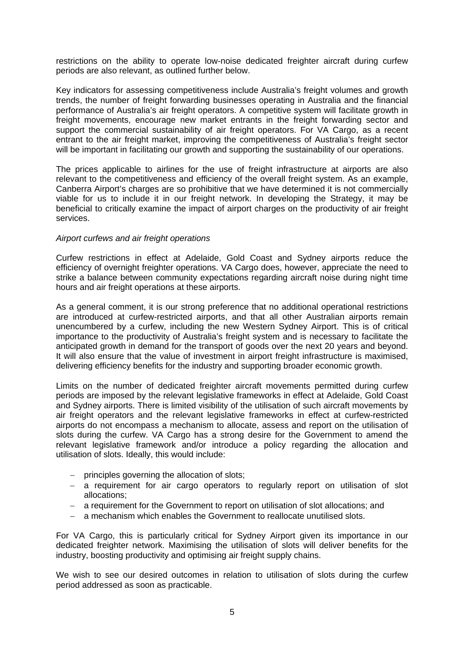restrictions on the ability to operate low-noise dedicated freighter aircraft during curfew periods are also relevant, as outlined further below.

Key indicators for assessing competitiveness include Australia's freight volumes and growth trends, the number of freight forwarding businesses operating in Australia and the financial performance of Australia's air freight operators. A competitive system will facilitate growth in freight movements, encourage new market entrants in the freight forwarding sector and support the commercial sustainability of air freight operators. For VA Cargo, as a recent entrant to the air freight market, improving the competitiveness of Australia's freight sector will be important in facilitating our growth and supporting the sustainability of our operations.

The prices applicable to airlines for the use of freight infrastructure at airports are also relevant to the competitiveness and efficiency of the overall freight system. As an example, Canberra Airport's charges are so prohibitive that we have determined it is not commercially viable for us to include it in our freight network. In developing the Strategy, it may be beneficial to critically examine the impact of airport charges on the productivity of air freight services.

# *Airport curfews and air freight operations*

Curfew restrictions in effect at Adelaide, Gold Coast and Sydney airports reduce the efficiency of overnight freighter operations. VA Cargo does, however, appreciate the need to strike a balance between community expectations regarding aircraft noise during night time hours and air freight operations at these airports.

As a general comment, it is our strong preference that no additional operational restrictions are introduced at curfew-restricted airports, and that all other Australian airports remain unencumbered by a curfew, including the new Western Sydney Airport. This is of critical importance to the productivity of Australia's freight system and is necessary to facilitate the anticipated growth in demand for the transport of goods over the next 20 years and beyond. It will also ensure that the value of investment in airport freight infrastructure is maximised, delivering efficiency benefits for the industry and supporting broader economic growth.

Limits on the number of dedicated freighter aircraft movements permitted during curfew periods are imposed by the relevant legislative frameworks in effect at Adelaide, Gold Coast and Sydney airports. There is limited visibility of the utilisation of such aircraft movements by air freight operators and the relevant legislative frameworks in effect at curfew-restricted airports do not encompass a mechanism to allocate, assess and report on the utilisation of slots during the curfew. VA Cargo has a strong desire for the Government to amend the relevant legislative framework and/or introduce a policy regarding the allocation and utilisation of slots. Ideally, this would include:

- principles governing the allocation of slots;
- a requirement for air cargo operators to regularly report on utilisation of slot allocations;
- a requirement for the Government to report on utilisation of slot allocations; and
- a mechanism which enables the Government to reallocate unutilised slots.

For VA Cargo, this is particularly critical for Sydney Airport given its importance in our dedicated freighter network. Maximising the utilisation of slots will deliver benefits for the industry, boosting productivity and optimising air freight supply chains.

We wish to see our desired outcomes in relation to utilisation of slots during the curfew period addressed as soon as practicable.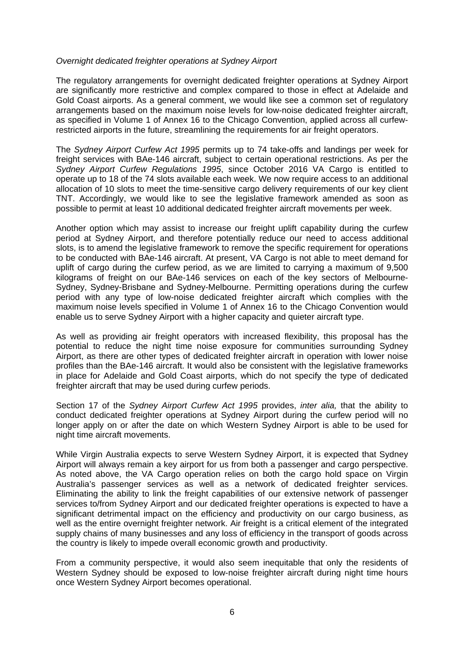#### *Overnight dedicated freighter operations at Sydney Airport*

The regulatory arrangements for overnight dedicated freighter operations at Sydney Airport are significantly more restrictive and complex compared to those in effect at Adelaide and Gold Coast airports. As a general comment, we would like see a common set of regulatory arrangements based on the maximum noise levels for low-noise dedicated freighter aircraft, as specified in Volume 1 of Annex 16 to the Chicago Convention, applied across all curfewrestricted airports in the future, streamlining the requirements for air freight operators.

The *Sydney Airport Curfew Act 1995* permits up to 74 take-offs and landings per week for freight services with BAe-146 aircraft, subject to certain operational restrictions. As per the *Sydney Airport Curfew Regulations 1995*, since October 2016 VA Cargo is entitled to operate up to 18 of the 74 slots available each week. We now require access to an additional allocation of 10 slots to meet the time-sensitive cargo delivery requirements of our key client TNT. Accordingly, we would like to see the legislative framework amended as soon as possible to permit at least 10 additional dedicated freighter aircraft movements per week.

Another option which may assist to increase our freight uplift capability during the curfew period at Sydney Airport, and therefore potentially reduce our need to access additional slots, is to amend the legislative framework to remove the specific requirement for operations to be conducted with BAe-146 aircraft. At present, VA Cargo is not able to meet demand for uplift of cargo during the curfew period, as we are limited to carrying a maximum of 9,500 kilograms of freight on our BAe-146 services on each of the key sectors of Melbourne-Sydney, Sydney-Brisbane and Sydney-Melbourne. Permitting operations during the curfew period with any type of low-noise dedicated freighter aircraft which complies with the maximum noise levels specified in Volume 1 of Annex 16 to the Chicago Convention would enable us to serve Sydney Airport with a higher capacity and quieter aircraft type.

As well as providing air freight operators with increased flexibility, this proposal has the potential to reduce the night time noise exposure for communities surrounding Sydney Airport, as there are other types of dedicated freighter aircraft in operation with lower noise profiles than the BAe-146 aircraft. It would also be consistent with the legislative frameworks in place for Adelaide and Gold Coast airports, which do not specify the type of dedicated freighter aircraft that may be used during curfew periods.

Section 17 of the *Sydney Airport Curfew Act 1995* provides, *inter alia,* that the ability to conduct dedicated freighter operations at Sydney Airport during the curfew period will no longer apply on or after the date on which Western Sydney Airport is able to be used for night time aircraft movements.

While Virgin Australia expects to serve Western Sydney Airport, it is expected that Sydney Airport will always remain a key airport for us from both a passenger and cargo perspective. As noted above, the VA Cargo operation relies on both the cargo hold space on Virgin Australia's passenger services as well as a network of dedicated freighter services. Eliminating the ability to link the freight capabilities of our extensive network of passenger services to/from Sydney Airport and our dedicated freighter operations is expected to have a significant detrimental impact on the efficiency and productivity on our cargo business, as well as the entire overnight freighter network. Air freight is a critical element of the integrated supply chains of many businesses and any loss of efficiency in the transport of goods across the country is likely to impede overall economic growth and productivity.

From a community perspective, it would also seem inequitable that only the residents of Western Sydney should be exposed to low-noise freighter aircraft during night time hours once Western Sydney Airport becomes operational.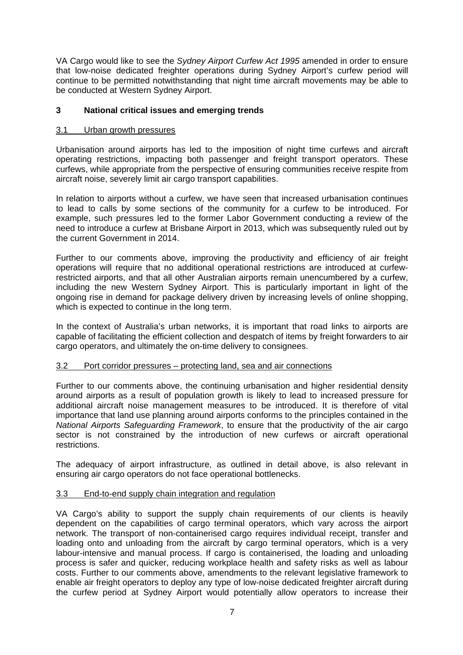VA Cargo would like to see the *Sydney Airport Curfew Act 1995* amended in order to ensure that low-noise dedicated freighter operations during Sydney Airport's curfew period will continue to be permitted notwithstanding that night time aircraft movements may be able to be conducted at Western Sydney Airport.

# **3 National critical issues and emerging trends**

# 3.1 Urban growth pressures

Urbanisation around airports has led to the imposition of night time curfews and aircraft operating restrictions, impacting both passenger and freight transport operators. These curfews, while appropriate from the perspective of ensuring communities receive respite from aircraft noise, severely limit air cargo transport capabilities.

In relation to airports without a curfew, we have seen that increased urbanisation continues to lead to calls by some sections of the community for a curfew to be introduced. For example, such pressures led to the former Labor Government conducting a review of the need to introduce a curfew at Brisbane Airport in 2013, which was subsequently ruled out by the current Government in 2014.

Further to our comments above, improving the productivity and efficiency of air freight operations will require that no additional operational restrictions are introduced at curfewrestricted airports, and that all other Australian airports remain unencumbered by a curfew, including the new Western Sydney Airport. This is particularly important in light of the ongoing rise in demand for package delivery driven by increasing levels of online shopping, which is expected to continue in the long term.

In the context of Australia's urban networks, it is important that road links to airports are capable of facilitating the efficient collection and despatch of items by freight forwarders to air cargo operators, and ultimately the on-time delivery to consignees.

# 3.2 Port corridor pressures – protecting land, sea and air connections

Further to our comments above, the continuing urbanisation and higher residential density around airports as a result of population growth is likely to lead to increased pressure for additional aircraft noise management measures to be introduced. It is therefore of vital importance that land use planning around airports conforms to the principles contained in the *National Airports Safeguarding Framework*, to ensure that the productivity of the air cargo sector is not constrained by the introduction of new curfews or aircraft operational restrictions.

The adequacy of airport infrastructure, as outlined in detail above, is also relevant in ensuring air cargo operators do not face operational bottlenecks.

# 3.3 End-to-end supply chain integration and regulation

VA Cargo's ability to support the supply chain requirements of our clients is heavily dependent on the capabilities of cargo terminal operators, which vary across the airport network. The transport of non-containerised cargo requires individual receipt, transfer and loading onto and unloading from the aircraft by cargo terminal operators, which is a very labour-intensive and manual process. If cargo is containerised, the loading and unloading process is safer and quicker, reducing workplace health and safety risks as well as labour costs. Further to our comments above, amendments to the relevant legislative framework to enable air freight operators to deploy any type of low-noise dedicated freighter aircraft during the curfew period at Sydney Airport would potentially allow operators to increase their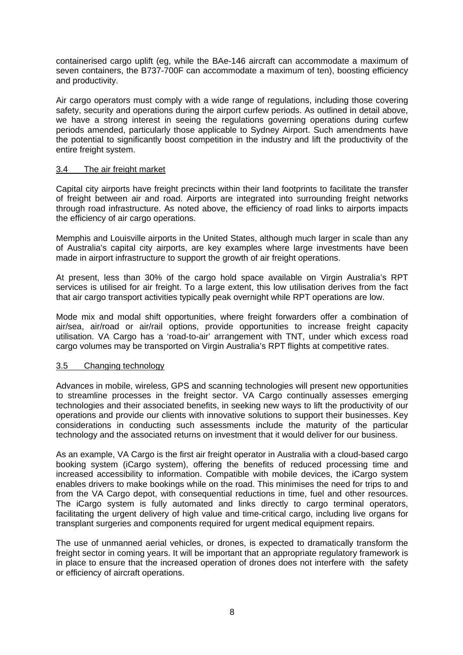containerised cargo uplift (eg, while the BAe-146 aircraft can accommodate a maximum of seven containers, the B737-700F can accommodate a maximum of ten), boosting efficiency and productivity.

Air cargo operators must comply with a wide range of regulations, including those covering safety, security and operations during the airport curfew periods. As outlined in detail above, we have a strong interest in seeing the regulations governing operations during curfew periods amended, particularly those applicable to Sydney Airport. Such amendments have the potential to significantly boost competition in the industry and lift the productivity of the entire freight system.

# 3.4 The air freight market

Capital city airports have freight precincts within their land footprints to facilitate the transfer of freight between air and road. Airports are integrated into surrounding freight networks through road infrastructure. As noted above, the efficiency of road links to airports impacts the efficiency of air cargo operations.

Memphis and Louisville airports in the United States, although much larger in scale than any of Australia's capital city airports, are key examples where large investments have been made in airport infrastructure to support the growth of air freight operations.

At present, less than 30% of the cargo hold space available on Virgin Australia's RPT services is utilised for air freight. To a large extent, this low utilisation derives from the fact that air cargo transport activities typically peak overnight while RPT operations are low.

Mode mix and modal shift opportunities, where freight forwarders offer a combination of air/sea, air/road or air/rail options, provide opportunities to increase freight capacity utilisation. VA Cargo has a 'road-to-air' arrangement with TNT, under which excess road cargo volumes may be transported on Virgin Australia's RPT flights at competitive rates.

# 3.5 Changing technology

Advances in mobile, wireless, GPS and scanning technologies will present new opportunities to streamline processes in the freight sector. VA Cargo continually assesses emerging technologies and their associated benefits, in seeking new ways to lift the productivity of our operations and provide our clients with innovative solutions to support their businesses. Key considerations in conducting such assessments include the maturity of the particular technology and the associated returns on investment that it would deliver for our business.

As an example, VA Cargo is the first air freight operator in Australia with a cloud-based cargo booking system (iCargo system), offering the benefits of reduced processing time and increased accessibility to information. Compatible with mobile devices, the iCargo system enables drivers to make bookings while on the road. This minimises the need for trips to and from the VA Cargo depot, with consequential reductions in time, fuel and other resources. The iCargo system is fully automated and links directly to cargo terminal operators, facilitating the urgent delivery of high value and time-critical cargo, including live organs for transplant surgeries and components required for urgent medical equipment repairs.

The use of unmanned aerial vehicles, or drones, is expected to dramatically transform the freight sector in coming years. It will be important that an appropriate regulatory framework is in place to ensure that the increased operation of drones does not interfere with the safety or efficiency of aircraft operations.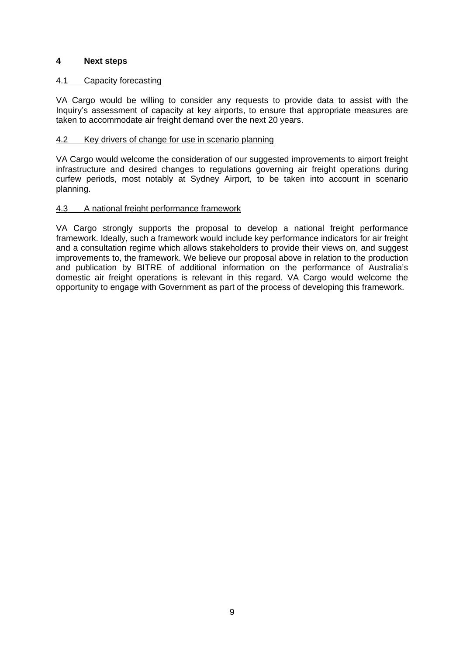# **4 Next steps**

# 4.1 Capacity forecasting

VA Cargo would be willing to consider any requests to provide data to assist with the Inquiry's assessment of capacity at key airports, to ensure that appropriate measures are taken to accommodate air freight demand over the next 20 years.

#### 4.2 Key drivers of change for use in scenario planning

VA Cargo would welcome the consideration of our suggested improvements to airport freight infrastructure and desired changes to regulations governing air freight operations during curfew periods, most notably at Sydney Airport, to be taken into account in scenario planning.

# 4.3 A national freight performance framework

VA Cargo strongly supports the proposal to develop a national freight performance framework. Ideally, such a framework would include key performance indicators for air freight and a consultation regime which allows stakeholders to provide their views on, and suggest improvements to, the framework. We believe our proposal above in relation to the production and publication by BITRE of additional information on the performance of Australia's domestic air freight operations is relevant in this regard. VA Cargo would welcome the opportunity to engage with Government as part of the process of developing this framework.